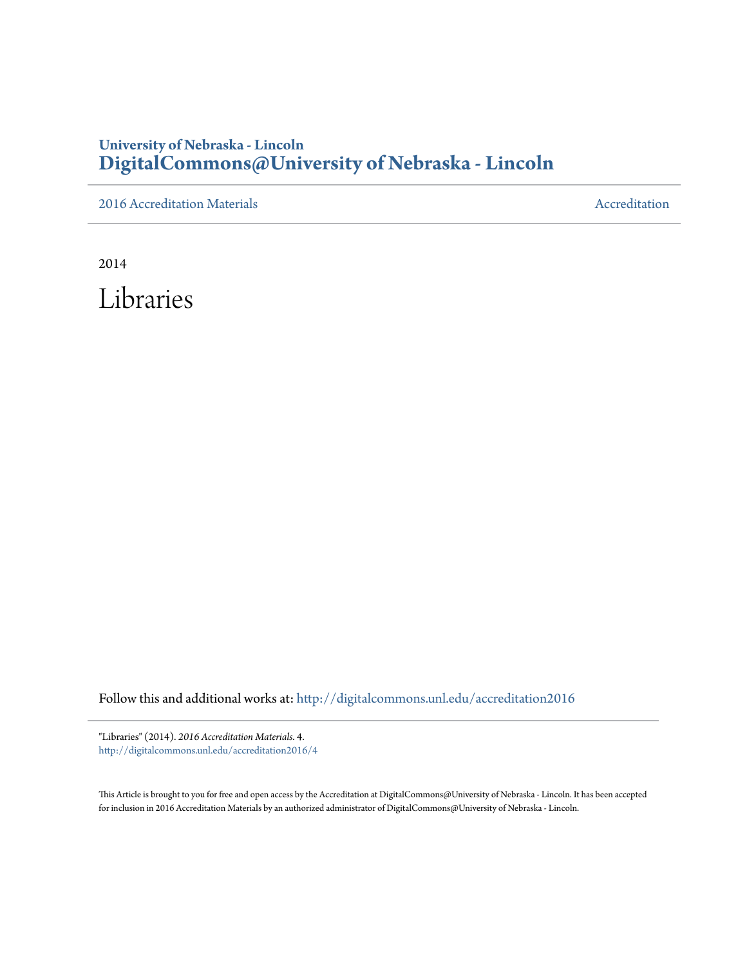## **University of Nebraska - Lincoln [DigitalCommons@University of Nebraska - Lincoln](http://digitalcommons.unl.edu?utm_source=digitalcommons.unl.edu%2Faccreditation2016%2F4&utm_medium=PDF&utm_campaign=PDFCoverPages)**

[2016 Accreditation Materials](http://digitalcommons.unl.edu/accreditation2016?utm_source=digitalcommons.unl.edu%2Faccreditation2016%2F4&utm_medium=PDF&utm_campaign=PDFCoverPages) **[Accreditation](http://digitalcommons.unl.edu/accreditation?utm_source=digitalcommons.unl.edu%2Faccreditation2016%2F4&utm_medium=PDF&utm_campaign=PDFCoverPages) Materials** Accreditation Accreditation

2014

Libraries

Follow this and additional works at: [http://digitalcommons.unl.edu/accreditation2016](http://digitalcommons.unl.edu/accreditation2016?utm_source=digitalcommons.unl.edu%2Faccreditation2016%2F4&utm_medium=PDF&utm_campaign=PDFCoverPages)

"Libraries" (2014). *2016 Accreditation Materials*. 4. [http://digitalcommons.unl.edu/accreditation2016/4](http://digitalcommons.unl.edu/accreditation2016/4?utm_source=digitalcommons.unl.edu%2Faccreditation2016%2F4&utm_medium=PDF&utm_campaign=PDFCoverPages)

This Article is brought to you for free and open access by the Accreditation at DigitalCommons@University of Nebraska - Lincoln. It has been accepted for inclusion in 2016 Accreditation Materials by an authorized administrator of DigitalCommons@University of Nebraska - Lincoln.